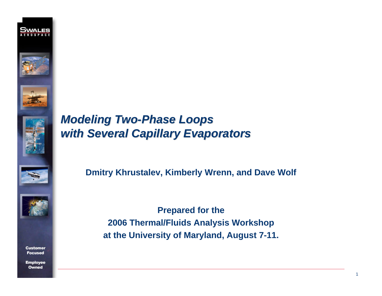



# **Modeling Two-Phase Loops** *with Several Capillary Evaporators with Several Capillary Evaporators*





**Customer Focused** 

**Employee** Owned

**Dmitry Khrustalev, Kimberly Wrenn, and Dave Wolf**

**Prepared for the 2006 Thermal/Fluids Analysis Workshop at the University of Maryland, August 7-11.**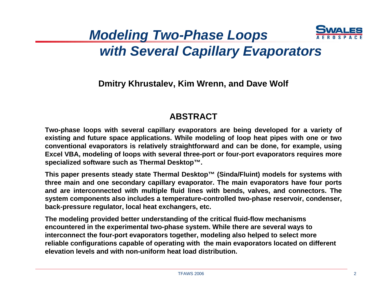

# *Modeling Two-Phase Loops with Several Capillary Evaporators*

### **Dmitry Khrustalev, Kim Wrenn, and Dave Wolf**

### **ABSTRACT**

**Two-phase loops with several capillary evaporators are being developed for a variety of existing and future space applications. While modeling of loop heat pipes with one or two conventional evaporators is relatively straightforward and can be done, for example, using Excel VBA, modeling of loops with several three-port or four-port evaporators requires more specialized software such as Thermal Desktop™.** 

**This paper presents steady state Thermal Desktop™ (Sinda/Fluint) models for systems with three main and one secondary capillary evaporator. The main evaporators have four ports and are interconnected with multiple fluid lines with bends, valves, and connectors. The system components also includes a temperature-controlled two-phase reservoir, condenser, back-pressure regulator, local heat exchangers, etc.** 

**The modeling provided better understanding of the critical fluid-flow mechanisms encountered in the experimental two-phase system. While there are several ways to interconnect the four-port evaporators together, modeling also helped to select more reliable configurations capable of operating with the main evaporators located on different elevation levels and with non-uniform heat load distribution.**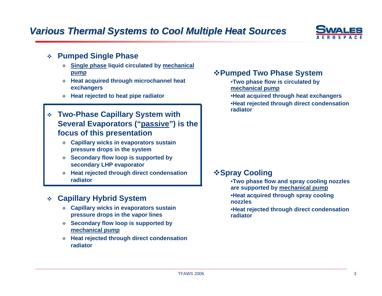

#### $\frac{1}{2}$ **Pumped Single Phase**

- **Single phase liquid circulated by mechanical pump**
- **Heat acquired through microchannel heat exchangers**
- **Heat rejected to heat pipe radiator**
- **Two-Phase Capillary System with Several Evaporators ("passive") is the focus of this presentation**
	- **Capillary wicks in evaporators sustain pressure drops in the system**
	- **Secondary flow loop is supported by secondary LHP evaporator**

 **Heat rejected through direct condensation radiator**

#### **经 Capillary Hybrid System**

- **Capillary wicks in evaporators sustain pressure drops in the vapor lines**
- **Secondary flow loop is supported by mechanical pump**
- **Heat rejected through direct condensation radiator**

#### **Pumped Two Phase System**

- •**Two phase flow is circulated by mechanical pump**
- •**Heat acquired through heat exchangers** •**Heat rejected through direct condensation radiator**

#### *<b>❖Spray Cooling*

- •**Two phase flow and spray cooling nozzles are supported by mechanical pump**
- •**Heat acquired through spray cooling nozzles**
- •**Heat rejected through direct condensation radiator**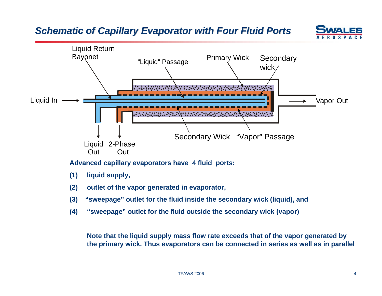## *Schematic of Ca c of Capillary Evaporator with Four Fluid Ports with Four Fluid Ports*





**Advanced capillary evaporators have 4 fluid ports:** 

- **(1) liquid supply,**
- **(2) outlet of the vapor generated in evaporator,**
- **(3) "sweepage" outlet for the fluid inside the secondary wick (liquid), and**
- **(4) "sweepage" outlet for the fluid outside the secondary wick (vapor)**

**Note that the liquid supply mass flow rate exceeds that of the vapor generated by the primary wick. Thus evaporators can be connected in series as well as in parallel**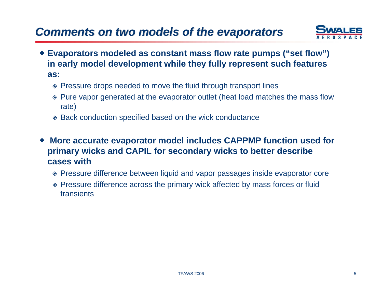

- **Evaporators modeled as constant mass flow rate pumps ("set flow") in early model development while they fully represent such features as:**
	- Pressure drops needed to move the fluid through transport lines
	- Pure vapor generated at the evaporator outlet (heat load matches the mass flow rate)
	- Back conduction specified based on the wick conductance
- ♦ **More accurate evaporator model includes CAPPMP function used for primary wicks and CAPIL for secondary wicks to better describe cases with**
	- Pressure difference between liquid and vapor passages inside evaporator core
	- Pressure difference across the primary wick affected by mass forces or fluid transients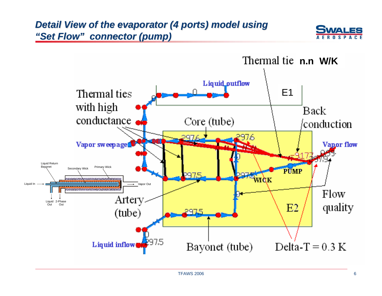## *Detail View of the evaporator (4 ports) model using "Set Flow" connector (pump)*



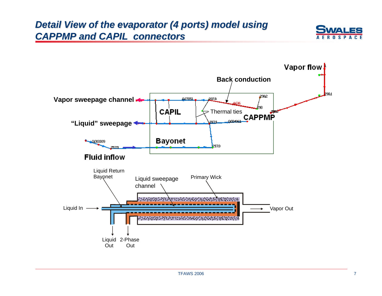### *Detail View of the evaporator (4 ports) model using* **CAPPMP and CAPIL connectors**



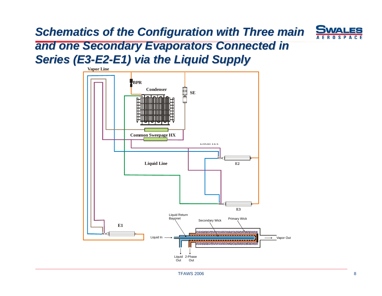# **Schematics of the Configuration with Three main**



# *and one Secondary Evaporators Connected in and one Secondary Evaporators Connected in*  **Series (E3-E2-E1) via the Liquid Supply**

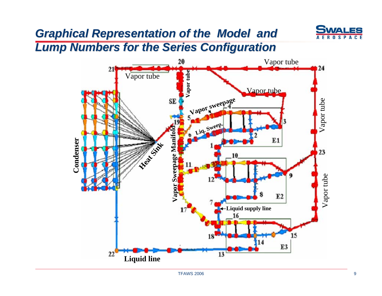# *Graphical Representation of the Model and Graphical Representation of the Model and*



*Lump Numbers for the Series Configuration Lump Numbers for the Series Configuration*

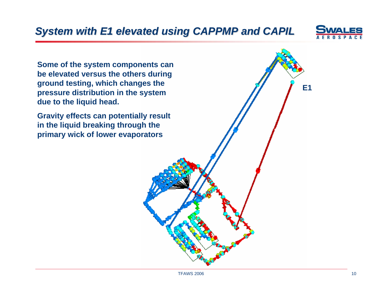

**E1**

**Some of the system components can be elevated versus the others during ground testing, which changes the pressure distribution in the system due to the liquid head.**

**Gravity effects can potentially result in the liquid breaking through the primary wick of lower evaporators**

TFAWS 2006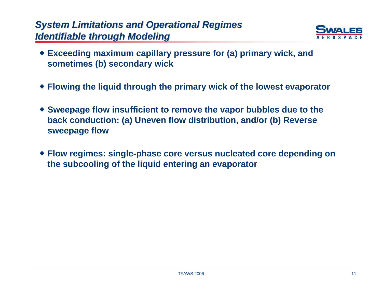## **System Limitations and Operational Regimes** *Identifiable Identifiable through Modeling through Modeling*



- **Exceeding maximum capillary pressure for (a) primary wick, and sometimes (b) secondary wick**
- **Flowing the liquid through the primary wick of the lowest evaporator**
- **Sweepage flow insufficient to remove the vapor bubbles due to the back conduction: (a) Uneven flow distribution, and/or (b) Reverse sweepage flow**
- **Flow regimes: single-phase core versus nucleated core depending on the subcooling of the liquid entering an evaporator**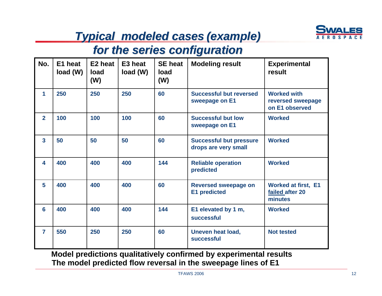

# *Typical modeled cases Typical modeled cases (example) (example)*

# *for the series configuration for the series configuration*

| No.                     | E1 heat<br>load(W) | E2 heat<br>load<br>(W) | E3 heat<br>load(W) | <b>SE heat</b><br>load<br>(W) | <b>Modeling result</b>                                 | <b>Experimental</b><br>result                             |
|-------------------------|--------------------|------------------------|--------------------|-------------------------------|--------------------------------------------------------|-----------------------------------------------------------|
| $\mathbf{1}$            | 250                | 250                    | 250                | 60                            | <b>Successful but reversed</b><br>sweepage on E1       | <b>Worked with</b><br>reversed sweepage<br>on E1 observed |
| $\overline{2}$          | 100                | 100                    | 100                | 60                            | <b>Successful but low</b><br>sweepage on E1            | <b>Worked</b>                                             |
| $\overline{3}$          | 50                 | 50                     | 50                 | 60                            | <b>Successful but pressure</b><br>drops are very small | <b>Worked</b>                                             |
| $\overline{\mathbf{4}}$ | 400                | 400                    | 400                | 144                           | <b>Reliable operation</b><br>predicted                 | <b>Worked</b>                                             |
| 5                       | 400                | 400                    | 400                | 60                            | <b>Reversed sweepage on</b><br><b>E1</b> predicted     | <b>Worked at first, E1</b><br>failed after 20<br>minutes  |
| 6                       | 400                | 400                    | 400                | 144                           | E1 elevated by 1 m,<br>successful                      | <b>Worked</b>                                             |
| $\overline{7}$          | 550                | 250                    | 250                | 60                            | <b>Uneven heat load,</b><br>successful                 | <b>Not tested</b>                                         |

**The model predicted flow reversal in the sweepage lines of E1 Model predictions qualitatively confirmed by experimental results**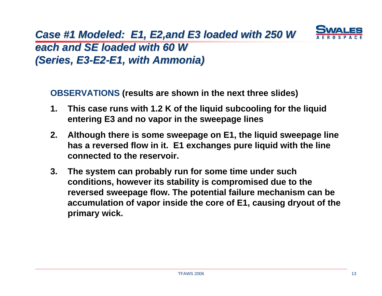## *Case #1 Modeled: E1, E2,and E3 loaded with 250 W* each and SE loaded with 60 W *(Series, E3-E2-E1, with Ammonia)*

**OBSERVATIONS (results are shown in the next three slides)**

- **1. This case runs with 1.2 K of the liquid subcooling for the liquid entering E3 and no vapor in the sweepage lines**
- **2. Although there is some sweepage on E1, the liquid sweepage line has a reversed flow in it. E1 exchanges pure liquid with the line connected to the reservoir.**
- **3. The system can probably run for some time under such conditions, however its stability is compromised due to the reversed sweepage flow. The potential failure mechanism can be accumulation of vapor inside the core of E1, causing dryout of the primary wick.**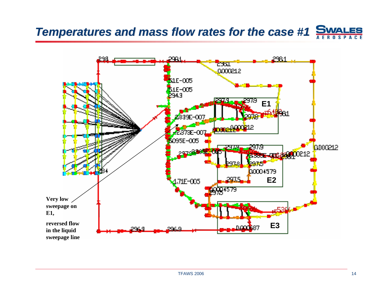#### **SWALES Temperatures and mass flow rates for the case #1 AEROSP**

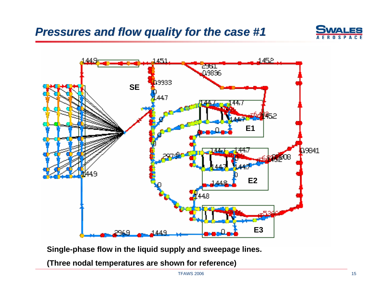# *Pressures and flow quality for the case #1 Pressures and flow quality for the case #1*





**Single-phase flow in the liquid supply and sweepage lines.**

**(Three nodal temperatures are shown for reference)**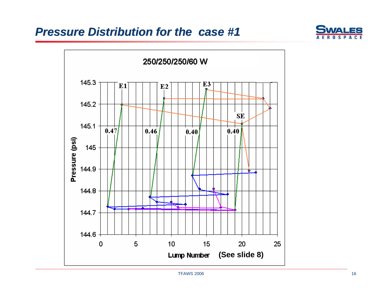# *Pressure Distribution for the case #1 Pressure Distribution for the case #1*



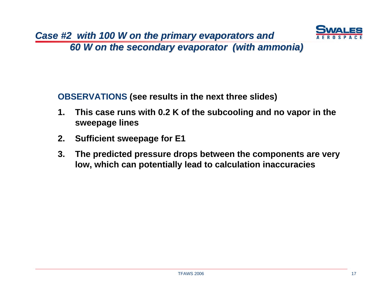

*60 W on the secondary evaporator (w 60 W on the secondary evaporator (with ammonia) ith ammonia)*

**OBSERVATIONS (see results in the next three slides)**

- **1. This case runs with 0.2 K of the subcooling and no vapor in the sweepage lines**
- **2.Sufficient sweepage for E1**
- **3. The predicted pressure drops between the components are very low, which can potentially lead to calculation inaccuracies**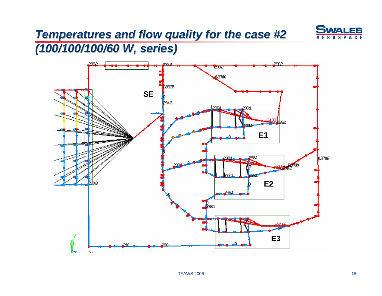

# **Temperatures and flow quality for the case #2**

*(100/100/100/60 W, series) (100/100/100/60 W, series)*

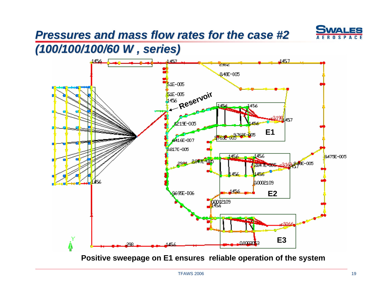# *Pressures and mass flow rates for the case #2 Pressures and mass flow rates for the case #2*



# *(100/100/100/60 W , series) (100/100/100/60 W , series)*



**Positive sweepage on E1 ensures reliable operation of the system**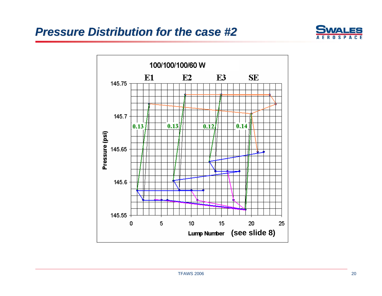# *Pressure Distribution for the case #2 Pressure Distribution for the case #2*



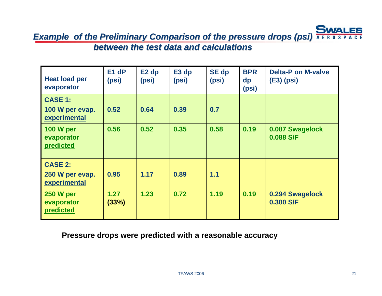ES *Example of the Preliminary Comparison of the pressure drops (psi)* $\overline{A}$  **E R O** *between the test data and calculations between the test data and calculations* 

| <b>Heat load per</b><br>evaporator                | E <sub>1</sub> dP<br>(psi) | E <sub>2</sub> dp<br>(psi) | E <sub>3</sub> d <sub>p</sub><br>(psi) | <b>SE dp</b><br>(psi) | <b>BPR</b><br>dp<br>(psi) | <b>Delta-P on M-valve</b><br>$(E3)$ (psi) |
|---------------------------------------------------|----------------------------|----------------------------|----------------------------------------|-----------------------|---------------------------|-------------------------------------------|
| <b>CASE 1:</b><br>100 W per evap.<br>experimental | 0.52                       | 0.64                       | 0.39                                   | 0.7                   |                           |                                           |
| <b>100 W per</b><br>evaporator<br>predicted       | 0.56                       | 0.52                       | 0.35                                   | 0.58                  | 0.19                      | 0.087 Swagelock<br>0.088 S/F              |
| <b>CASE 2:</b><br>250 W per evap.<br>experimental | 0.95                       | 1.17                       | 0.89                                   | 1.1                   |                           |                                           |
| <b>250 W per</b><br>evaporator<br>predicted       | 1.27<br>(33%)              | 1.23                       | 0.72                                   | 1.19                  | 0.19                      | 0.294 Swagelock<br>0.300 S/F              |

**Pressure drops were predicted with a reasonable accuracy**